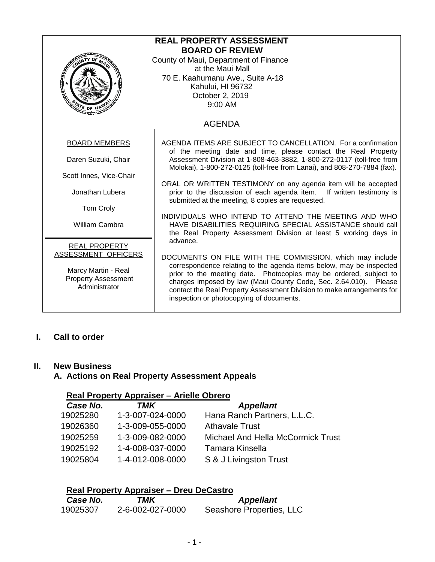| <b>REAL PROPERTY ASSESSMENT</b>       |                                                                                                                                         |  |  |
|---------------------------------------|-----------------------------------------------------------------------------------------------------------------------------------------|--|--|
| <b>BOARD OF REVIEW</b>                |                                                                                                                                         |  |  |
| County of Maui, Department of Finance |                                                                                                                                         |  |  |
|                                       | at the Maui Mall                                                                                                                        |  |  |
| 70 E. Kaahumanu Ave., Suite A-18      |                                                                                                                                         |  |  |
| <b>CONTROL</b>                        | Kahului, HI 96732                                                                                                                       |  |  |
|                                       | October 2, 2019                                                                                                                         |  |  |
|                                       | 9:00 AM                                                                                                                                 |  |  |
|                                       |                                                                                                                                         |  |  |
|                                       | <b>AGENDA</b>                                                                                                                           |  |  |
|                                       |                                                                                                                                         |  |  |
| <b>BOARD MEMBERS</b>                  | AGENDA ITEMS ARE SUBJECT TO CANCELLATION. For a confirmation                                                                            |  |  |
| Daren Suzuki, Chair                   | of the meeting date and time, please contact the Real Property<br>Assessment Division at 1-808-463-3882, 1-800-272-0117 (toll-free from |  |  |
|                                       | Molokai), 1-800-272-0125 (toll-free from Lanai), and 808-270-7884 (fax).                                                                |  |  |
| Scott Innes, Vice-Chair               |                                                                                                                                         |  |  |
|                                       | ORAL OR WRITTEN TESTIMONY on any agenda item will be accepted                                                                           |  |  |
| Jonathan Lubera                       | prior to the discussion of each agenda item. If written testimony is                                                                    |  |  |
|                                       | submitted at the meeting, 8 copies are requested.                                                                                       |  |  |
| Tom Croly                             | INDIVIDUALS WHO INTEND TO ATTEND THE MEETING AND WHO                                                                                    |  |  |
| <b>William Cambra</b>                 | HAVE DISABILITIES REQUIRING SPECIAL ASSISTANCE should call                                                                              |  |  |
|                                       | the Real Property Assessment Division at least 5 working days in                                                                        |  |  |
|                                       | advance.                                                                                                                                |  |  |
| <b>REAL PROPERTY</b>                  |                                                                                                                                         |  |  |
| <b>ASSESSMENT OFFICERS</b>            | DOCUMENTS ON FILE WITH THE COMMISSION, which may include                                                                                |  |  |
| Marcy Martin - Real                   | correspondence relating to the agenda items below, may be inspected                                                                     |  |  |
| <b>Property Assessment</b>            | prior to the meeting date. Photocopies may be ordered, subject to<br>charges imposed by law (Maui County Code, Sec. 2.64.010). Please   |  |  |
| Administrator                         | contact the Real Property Assessment Division to make arrangements for                                                                  |  |  |
|                                       | inspection or photocopying of documents.                                                                                                |  |  |
|                                       |                                                                                                                                         |  |  |

### **I. Call to order**

#### **II. New Business**

# **A. Actions on Real Property Assessment Appeals**

# **Real Property Appraiser – Arielle Obrero**

| Case No. | TMK              | <b>Appellant</b>                  |
|----------|------------------|-----------------------------------|
| 19025280 | 1-3-007-024-0000 | Hana Ranch Partners, L.L.C.       |
| 19026360 | 1-3-009-055-0000 | <b>Athavale Trust</b>             |
| 19025259 | 1-3-009-082-0000 | Michael And Hella McCormick Trust |
| 19025192 | 1-4-008-037-0000 | Tamara Kinsella                   |
| 19025804 | 1-4-012-008-0000 | S & J Livingston Trust            |
|          |                  |                                   |

# **Real Property Appraiser – Dreu DeCastro**

| Case No. | TMK              | <b>Appellant</b>         |
|----------|------------------|--------------------------|
| 19025307 | 2-6-002-027-0000 | Seashore Properties, LLC |